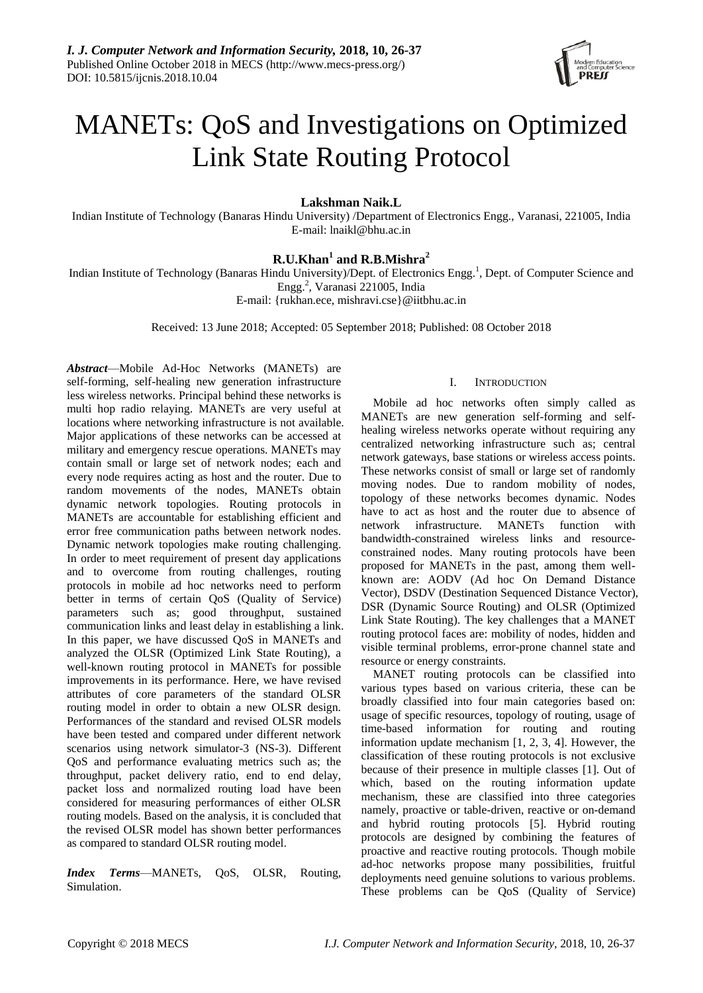

# MANETs: QoS and Investigations on Optimized Link State Routing Protocol

**Lakshman Naik.L**

Indian Institute of Technology (Banaras Hindu University) /Department of Electronics Engg., Varanasi, 221005, India E-mail: lnaikl@bhu.ac.in

## **R.U.Khan<sup>1</sup> and R.B.Mishra<sup>2</sup>**

Indian Institute of Technology (Banaras Hindu University)/Dept. of Electronics Engg.<sup>1</sup>, Dept. of Computer Science and Engg.<sup>2</sup> , Varanasi 221005, India

E-mail: {rukhan.ece, mishravi.cse}@iitbhu.ac.in

Received: 13 June 2018; Accepted: 05 September 2018; Published: 08 October 2018

*Abstract*—Mobile Ad-Hoc Networks (MANETs) are self-forming, self-healing new generation infrastructure less wireless networks. Principal behind these networks is multi hop radio relaying. MANETs are very useful at locations where networking infrastructure is not available. Major applications of these networks can be accessed at military and emergency rescue operations. MANETs may contain small or large set of network nodes; each and every node requires acting as host and the router. Due to random movements of the nodes, MANETs obtain dynamic network topologies. Routing protocols in MANETs are accountable for establishing efficient and error free communication paths between network nodes. Dynamic network topologies make routing challenging. In order to meet requirement of present day applications and to overcome from routing challenges, routing protocols in mobile ad hoc networks need to perform better in terms of certain QoS (Quality of Service) parameters such as; good throughput, sustained communication links and least delay in establishing a link. In this paper, we have discussed QoS in MANETs and analyzed the OLSR (Optimized Link State Routing), a well-known routing protocol in MANETs for possible improvements in its performance. Here, we have revised attributes of core parameters of the standard OLSR routing model in order to obtain a new OLSR design. Performances of the standard and revised OLSR models have been tested and compared under different network scenarios using network simulator-3 (NS-3). Different QoS and performance evaluating metrics such as; the throughput, packet delivery ratio, end to end delay, packet loss and normalized routing load have been considered for measuring performances of either OLSR routing models. Based on the analysis, it is concluded that the revised OLSR model has shown better performances as compared to standard OLSR routing model.

*Index Terms*—MANETs, QoS, OLSR, Routing, Simulation.

## I. INTRODUCTION

Mobile ad hoc networks often simply called as MANETs are new generation self-forming and selfhealing wireless networks operate without requiring any centralized networking infrastructure such as; central network gateways, base stations or wireless access points. These networks consist of small or large set of randomly moving nodes. Due to random mobility of nodes, topology of these networks becomes dynamic. Nodes have to act as host and the router due to absence of network infrastructure. MANETs function with bandwidth-constrained wireless links and resourceconstrained nodes. Many routing protocols have been proposed for MANETs in the past, among them wellknown are: AODV (Ad hoc On Demand Distance Vector), DSDV (Destination Sequenced Distance Vector), DSR (Dynamic Source Routing) and OLSR (Optimized Link State Routing). The key challenges that a MANET routing protocol faces are: mobility of nodes, hidden and visible terminal problems, error-prone channel state and resource or energy constraints.

MANET routing protocols can be classified into various types based on various criteria, these can be broadly classified into four main categories based on: usage of specific resources, topology of routing, usage of time-based information for routing and routing information update mechanism [1, 2, 3, 4]. However, the classification of these routing protocols is not exclusive because of their presence in multiple classes [1]. Out of which, based on the routing information update mechanism, these are classified into three categories namely, proactive or table-driven, reactive or on-demand and hybrid routing protocols [5]. Hybrid routing protocols are designed by combining the features of proactive and reactive routing protocols. Though mobile ad-hoc networks propose many possibilities, fruitful deployments need genuine solutions to various problems. These problems can be QoS (Quality of Service)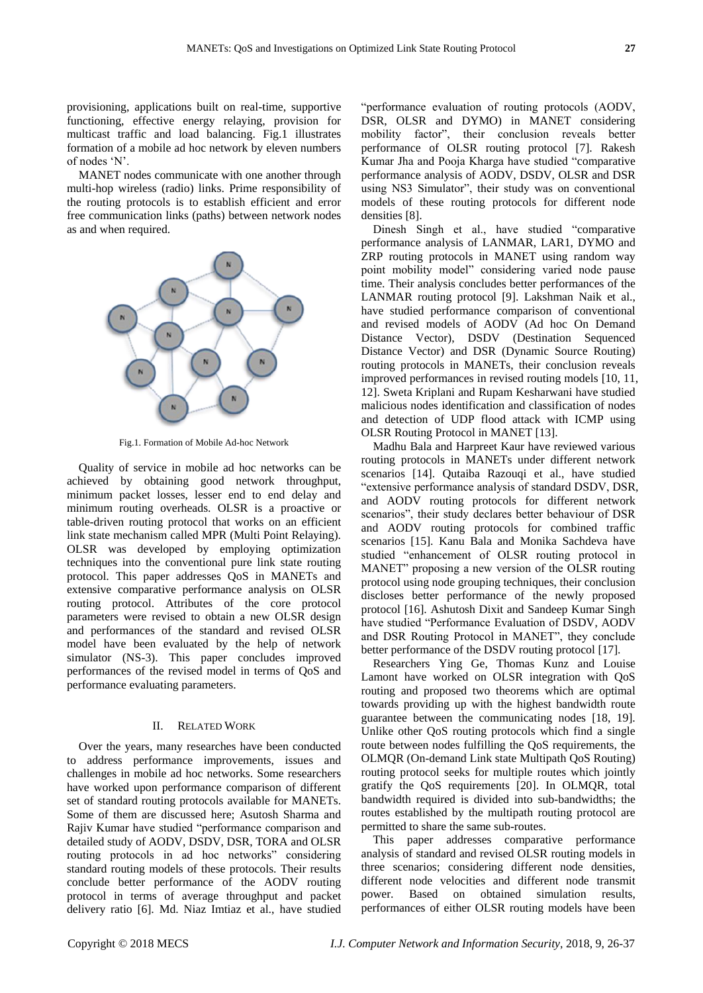provisioning, applications built on real-time, supportive functioning, effective energy relaying, provision for multicast traffic and load balancing. Fig.1 illustrates formation of a mobile ad hoc network by eleven numbers of nodes 'N'.

MANET nodes communicate with one another through multi-hop wireless (radio) links. Prime responsibility of the routing protocols is to establish efficient and error free communication links (paths) between network nodes as and when required.



Fig.1. Formation of Mobile Ad-hoc Network

Quality of service in mobile ad hoc networks can be achieved by obtaining good network throughput, minimum packet losses, lesser end to end delay and minimum routing overheads. OLSR is a proactive or table-driven routing protocol that works on an efficient link state mechanism called MPR (Multi Point Relaying). OLSR was developed by employing optimization techniques into the conventional pure link state routing protocol. This paper addresses QoS in MANETs and extensive comparative performance analysis on OLSR routing protocol. Attributes of the core protocol parameters were revised to obtain a new OLSR design and performances of the standard and revised OLSR model have been evaluated by the help of network simulator (NS-3). This paper concludes improved performances of the revised model in terms of QoS and performance evaluating parameters.

## II. RELATED WORK

Over the years, many researches have been conducted to address performance improvements, issues and challenges in mobile ad hoc networks. Some researchers have worked upon performance comparison of different set of standard routing protocols available for MANETs. Some of them are discussed here; Asutosh Sharma and Rajiv Kumar have studied "performance comparison and detailed study of AODV, DSDV, DSR, TORA and OLSR routing protocols in ad hoc networks" considering standard routing models of these protocols. Their results conclude better performance of the AODV routing protocol in terms of average throughput and packet delivery ratio [6]. Md. Niaz Imtiaz et al., have studied

"performance evaluation of routing protocols (AODV, DSR, OLSR and DYMO) in MANET considering mobility factor", their conclusion reveals better performance of OLSR routing protocol [7]. Rakesh Kumar Jha and Pooja Kharga have studied "comparative performance analysis of AODV, DSDV, OLSR and DSR using NS3 Simulator", their study was on conventional models of these routing protocols for different node densities [8].

Dinesh Singh et al., have studied "comparative performance analysis of LANMAR, LAR1, DYMO and ZRP routing protocols in MANET using random way point mobility model" considering varied node pause time. Their analysis concludes better performances of the LANMAR routing protocol [9]. Lakshman Naik et al., have studied performance comparison of conventional and revised models of AODV (Ad hoc On Demand Distance Vector), DSDV (Destination Sequenced Distance Vector) and DSR (Dynamic Source Routing) routing protocols in MANETs, their conclusion reveals improved performances in revised routing models [10, 11, 12]. Sweta Kriplani and Rupam Kesharwani have studied malicious nodes identification and classification of nodes and detection of UDP flood attack with ICMP using OLSR Routing Protocol in MANET [13].

Madhu Bala and Harpreet Kaur have reviewed various routing protocols in MANETs under different network scenarios [14]. Qutaiba Razouqi et al., have studied "extensive performance analysis of standard DSDV, DSR, and AODV routing protocols for different network scenarios", their study declares better behaviour of DSR and AODV routing protocols for combined traffic scenarios [15]. Kanu Bala and Monika Sachdeva have studied "enhancement of OLSR routing protocol in MANET" proposing a new version of the OLSR routing protocol using node grouping techniques, their conclusion discloses better performance of the newly proposed protocol [16]. Ashutosh Dixit and Sandeep Kumar Singh have studied "Performance Evaluation of DSDV, AODV and DSR Routing Protocol in MANET", they conclude better performance of the DSDV routing protocol [17].

Researchers Ying Ge, Thomas Kunz and Louise Lamont have worked on OLSR integration with QoS routing and proposed two theorems which are optimal towards providing up with the highest bandwidth route guarantee between the communicating nodes [18, 19]. Unlike other QoS routing protocols which find a single route between nodes fulfilling the QoS requirements, the OLMQR (On-demand Link state Multipath QoS Routing) routing protocol seeks for multiple routes which jointly gratify the QoS requirements [20]. In OLMQR, total bandwidth required is divided into sub-bandwidths; the routes established by the multipath routing protocol are permitted to share the same sub-routes.

This paper addresses comparative performance analysis of standard and revised OLSR routing models in three scenarios; considering different node densities, different node velocities and different node transmit power. Based on obtained simulation results, performances of either OLSR routing models have been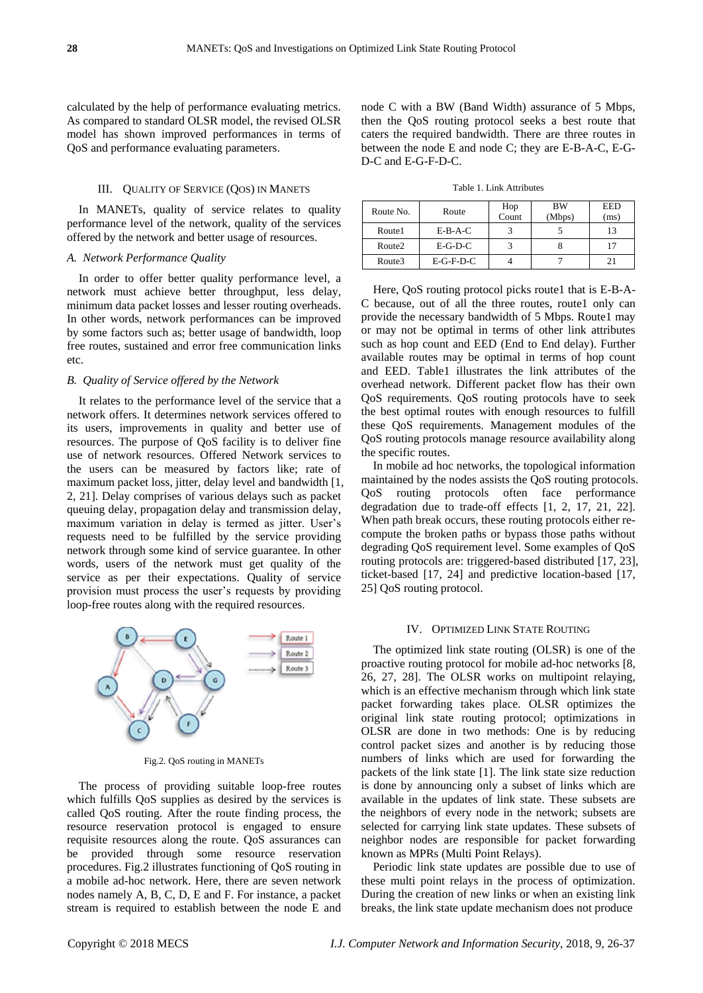calculated by the help of performance evaluating metrics. As compared to standard OLSR model, the revised OLSR model has shown improved performances in terms of QoS and performance evaluating parameters.

## III. QUALITY OF SERVICE (QOS) IN MANETS

In MANETs, quality of service relates to quality performance level of the network, quality of the services offered by the network and better usage of resources.

## *A. Network Performance Quality*

In order to offer better quality performance level, a network must achieve better throughput, less delay, minimum data packet losses and lesser routing overheads. In other words, network performances can be improved by some factors such as; better usage of bandwidth, loop free routes, sustained and error free communication links etc.

## *B. Quality of Service offered by the Network*

It relates to the performance level of the service that a network offers. It determines network services offered to its users, improvements in quality and better use of resources. The purpose of QoS facility is to deliver fine use of network resources. Offered Network services to the users can be measured by factors like; rate of maximum packet loss, jitter, delay level and bandwidth [1, 2, 21]. Delay comprises of various delays such as packet queuing delay, propagation delay and transmission delay, maximum variation in delay is termed as jitter. User's requests need to be fulfilled by the service providing network through some kind of service guarantee. In other words, users of the network must get quality of the service as per their expectations. Quality of service provision must process the user's requests by providing loop-free routes along with the required resources.



Fig.2. QoS routing in MANETs

The process of providing suitable loop-free routes which fulfills QoS supplies as desired by the services is called QoS routing. After the route finding process, the resource reservation protocol is engaged to ensure requisite resources along the route. QoS assurances can be provided through some resource reservation procedures. Fig.2 illustrates functioning of QoS routing in a mobile ad-hoc network. Here, there are seven network nodes namely A, B, C, D, E and F. For instance, a packet stream is required to establish between the node E and

node C with a BW (Band Width) assurance of 5 Mbps, then the QoS routing protocol seeks a best route that caters the required bandwidth. There are three routes in between the node E and node C; they are E-B-A-C, E-G-D-C and E-G-F-D-C.

Table 1. Link Attributes

| Route No. | Route       | Hop<br>Count | <b>BW</b><br>(Mbps) | <b>EED</b><br>(ms) |  |
|-----------|-------------|--------------|---------------------|--------------------|--|
| Route1    | $E-B-A-C$   |              |                     | 13                 |  |
| Route2    | $E-G-D-C$   |              |                     |                    |  |
| Route3    | $E-G-F-D-C$ |              |                     | 21                 |  |

Here, QoS routing protocol picks route1 that is E-B-A-C because, out of all the three routes, route1 only can provide the necessary bandwidth of 5 Mbps. Route1 may or may not be optimal in terms of other link attributes such as hop count and EED (End to End delay). Further available routes may be optimal in terms of hop count and EED. Table1 illustrates the link attributes of the overhead network. Different packet flow has their own QoS requirements. QoS routing protocols have to seek the best optimal routes with enough resources to fulfill these QoS requirements. Management modules of the QoS routing protocols manage resource availability along the specific routes.

In mobile ad hoc networks, the topological information maintained by the nodes assists the QoS routing protocols. QoS routing protocols often face performance degradation due to trade-off effects [1, 2, 17, 21, 22]. When path break occurs, these routing protocols either recompute the broken paths or bypass those paths without degrading QoS requirement level. Some examples of QoS routing protocols are: triggered-based distributed [17, 23], ticket-based [17, 24] and predictive location-based [17, 25] QoS routing protocol.

#### IV. OPTIMIZED LINK STATE ROUTING

The optimized link state routing (OLSR) is one of the proactive routing protocol for mobile ad-hoc networks [8, 26, 27, 28]. The OLSR works on multipoint relaying, which is an effective mechanism through which link state packet forwarding takes place. OLSR optimizes the original link state routing protocol; optimizations in OLSR are done in two methods: One is by reducing control packet sizes and another is by reducing those numbers of links which are used for forwarding the packets of the link state [1]. The link state size reduction is done by announcing only a subset of links which are available in the updates of link state. These subsets are the neighbors of every node in the network; subsets are selected for carrying link state updates. These subsets of neighbor nodes are responsible for packet forwarding known as MPRs (Multi Point Relays).

Periodic link state updates are possible due to use of these multi point relays in the process of optimization. During the creation of new links or when an existing link breaks, the link state update mechanism does not produce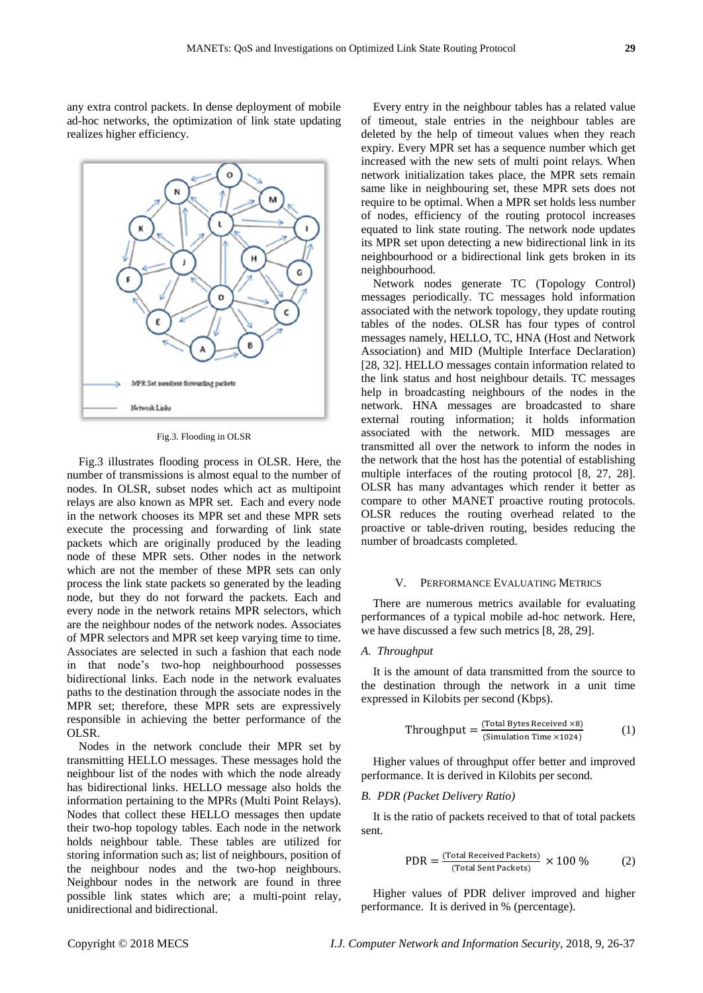any extra control packets. In dense deployment of mobile ad-hoc networks, the optimization of link state updating realizes higher efficiency.



Fig.3. Flooding in OLSR

Fig.3 illustrates flooding process in OLSR. Here, the number of transmissions is almost equal to the number of nodes. In OLSR, subset nodes which act as multipoint relays are also known as MPR set. Each and every node in the network chooses its MPR set and these MPR sets execute the processing and forwarding of link state packets which are originally produced by the leading node of these MPR sets. Other nodes in the network which are not the member of these MPR sets can only process the link state packets so generated by the leading node, but they do not forward the packets. Each and every node in the network retains MPR selectors, which are the neighbour nodes of the network nodes. Associates of MPR selectors and MPR set keep varying time to time. Associates are selected in such a fashion that each node in that node's two-hop neighbourhood possesses bidirectional links. Each node in the network evaluates paths to the destination through the associate nodes in the MPR set; therefore, these MPR sets are expressively responsible in achieving the better performance of the OLSR.

Nodes in the network conclude their MPR set by transmitting HELLO messages. These messages hold the neighbour list of the nodes with which the node already has bidirectional links. HELLO message also holds the information pertaining to the MPRs (Multi Point Relays). Nodes that collect these HELLO messages then update their two-hop topology tables. Each node in the network holds neighbour table. These tables are utilized for storing information such as; list of neighbours, position of the neighbour nodes and the two-hop neighbours. Neighbour nodes in the network are found in three possible link states which are; a multi-point relay, unidirectional and bidirectional.

Every entry in the neighbour tables has a related value of timeout, stale entries in the neighbour tables are deleted by the help of timeout values when they reach expiry. Every MPR set has a sequence number which get increased with the new sets of multi point relays. When network initialization takes place, the MPR sets remain same like in neighbouring set, these MPR sets does not require to be optimal. When a MPR set holds less number of nodes, efficiency of the routing protocol increases equated to link state routing. The network node updates its MPR set upon detecting a new bidirectional link in its neighbourhood or a bidirectional link gets broken in its neighbourhood.

Network nodes generate TC (Topology Control) messages periodically. TC messages hold information associated with the network topology, they update routing tables of the nodes. OLSR has four types of control messages namely, HELLO, TC, HNA (Host and Network Association) and MID (Multiple Interface Declaration) [28, 32]. HELLO messages contain information related to the link status and host neighbour details. TC messages help in broadcasting neighbours of the nodes in the network. HNA messages are broadcasted to share external routing information; it holds information associated with the network. MID messages are transmitted all over the network to inform the nodes in the network that the host has the potential of establishing multiple interfaces of the routing protocol [8, 27, 28]. OLSR has many advantages which render it better as compare to other MANET proactive routing protocols. OLSR reduces the routing overhead related to the proactive or table-driven routing, besides reducing the number of broadcasts completed.

## V. PERFORMANCE EVALUATING METRICS

There are numerous metrics available for evaluating performances of a typical mobile ad-hoc network. Here, we have discussed a few such metrics [8, 28, 29].

## *A. Throughput*

It is the amount of data transmitted from the source to the destination through the network in a unit time expressed in Kilobits per second (Kbps).

$$
Throughput = \frac{(Total bytes Recieved \times 8)}{(Simulation Time \times 1024)} \tag{1}
$$

Higher values of throughput offer better and improved performance. It is derived in Kilobits per second.

## *B. PDR (Packet Delivery Ratio)*

It is the ratio of packets received to that of total packets sent.

$$
PDR = \frac{(Total Received Packets)}{(Total Sent Packets)} \times 100\%
$$
 (2)

Higher values of PDR deliver improved and higher performance. It is derived in % (percentage).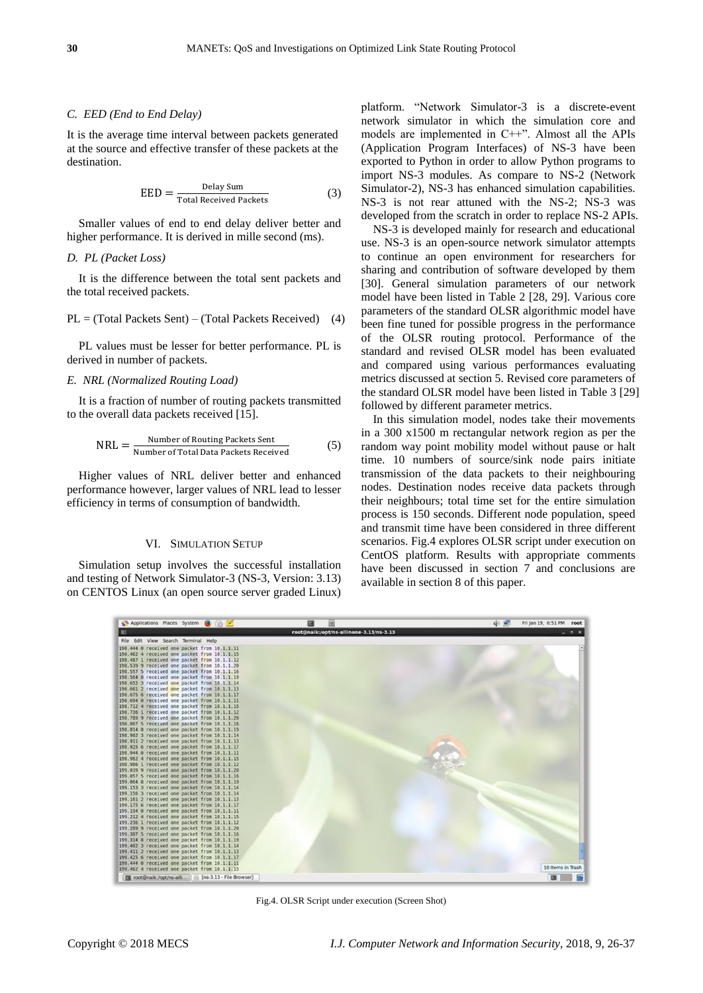## *C. EED (End to End Delay)*

It is the average time interval between packets generated at the source and effective transfer of these packets at the destination.

$$
EED = \frac{Delay \, Sum}{Total \, Received \, Packets} \tag{3}
$$

Smaller values of end to end delay deliver better and higher performance. It is derived in mille second (ms).

## *D. PL (Packet Loss)*

It is the difference between the total sent packets and the total received packets.

$$
PL = (Total Packets Sent) - (Total Packets Received)
$$
 (4)

PL values must be lesser for better performance. PL is derived in number of packets.

## *E. NRL (Normalized Routing Load)*

It is a fraction of number of routing packets transmitted to the overall data packets received [15].

$$
NRL = \frac{Number of Routing Packets Sent}{Number of Total Data Packets Received}
$$
 (5)

Higher values of NRL deliver better and enhanced performance however, larger values of NRL lead to lesser efficiency in terms of consumption of bandwidth.

#### VI. SIMULATION SETUP

Simulation setup involves the successful installation and testing of Network Simulator-3 (NS-3, Version: 3.13) on CENTOS Linux (an open source server graded Linux)

platform. "Network Simulator-3 is a discrete-event network simulator in which the simulation core and models are implemented in C++". Almost all the APIs (Application Program Interfaces) of NS-3 have been exported to Python in order to allow Python programs to import NS-3 modules. As compare to NS-2 (Network Simulator-2), NS-3 has enhanced simulation capabilities. NS-3 is not rear attuned with the NS-2; NS-3 was developed from the scratch in order to replace NS-2 APIs.

NS-3 is developed mainly for research and educational use. NS-3 is an open-source network simulator attempts to continue an open environment for researchers for sharing and contribution of software developed by them [30]. General simulation parameters of our network model have been listed in Table 2 [28, 29]. Various core parameters of the standard OLSR algorithmic model have been fine tuned for possible progress in the performance of the OLSR routing protocol. Performance of the standard and revised OLSR model has been evaluated and compared using various performances evaluating metrics discussed at section 5. Revised core parameters of the standard OLSR model have been listed in Table 3 [29] followed by different parameter metrics.

In this simulation model, nodes take their movements in a 300 x1500 m rectangular network region as per the random way point mobility model without pause or halt time. 10 numbers of source/sink node pairs initiate transmission of the data packets to their neighbouring nodes. Destination nodes receive data packets through their neighbours; total time set for the entire simulation process is 150 seconds. Different node population, speed and transmit time have been considered in three different scenarios. Fig.4 explores OLSR script under execution on CentOS platform. Results with appropriate comments have been discussed in section 7 and conclusions are available in section 8 of this paper.



Fig.4. OLSR Script under execution (Screen Shot)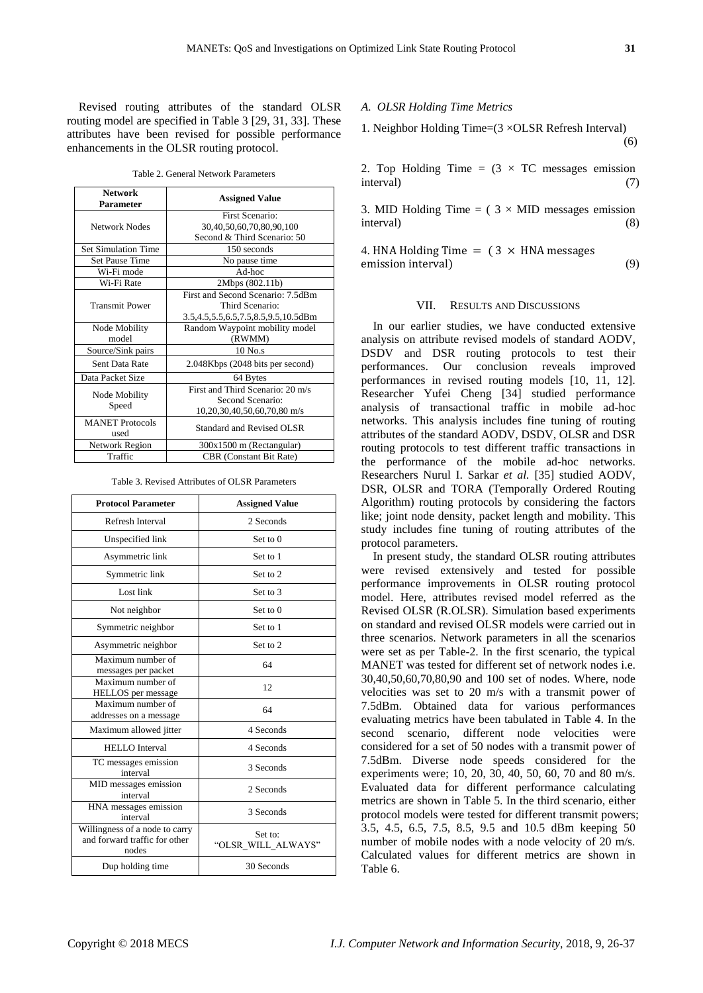Revised routing attributes of the standard OLSR routing model are specified in Table 3 [29, 31, 33]. These attributes have been revised for possible performance enhancements in the OLSR routing protocol.

Table 2. General Network Parameters

| <b>Network</b><br><b>Parameter</b> | <b>Assigned Value</b>                                                                       |  |  |  |  |  |
|------------------------------------|---------------------------------------------------------------------------------------------|--|--|--|--|--|
| Network Nodes                      | First Scenario:<br>30,40,50,60,70,80,90,100<br>Second & Third Scenario: 50                  |  |  |  |  |  |
| <b>Set Simulation Time</b>         | 150 seconds                                                                                 |  |  |  |  |  |
| <b>Set Pause Time</b>              | No pause time                                                                               |  |  |  |  |  |
| Wi-Fi mode                         | Ad-hoc                                                                                      |  |  |  |  |  |
| Wi-Fi Rate                         | 2Mbps (802.11b)                                                                             |  |  |  |  |  |
| <b>Transmit Power</b>              | First and Second Scenario: 7.5dBm<br>Third Scenario:<br>3.5,4.5,5.5,6.5,7.5,8.5,9.5,10.5dBm |  |  |  |  |  |
| Node Mobility<br>model             | Random Waypoint mobility model<br>(RWMM)                                                    |  |  |  |  |  |
| Source/Sink pairs                  | $10$ No.s                                                                                   |  |  |  |  |  |
| Sent Data Rate                     | 2.048Kbps (2048 bits per second)                                                            |  |  |  |  |  |
| Data Packet Size                   | 64 Bytes                                                                                    |  |  |  |  |  |
| Node Mobility<br>Speed             | First and Third Scenario: 20 m/s<br>Second Scenario:<br>10,20,30,40,50,60,70,80 m/s         |  |  |  |  |  |
| <b>MANET</b> Protocols<br>used     | Standard and Revised OLSR                                                                   |  |  |  |  |  |
| Network Region                     | 300x1500 m (Rectangular)                                                                    |  |  |  |  |  |
| Traffic                            | <b>CBR</b> (Constant Bit Rate)                                                              |  |  |  |  |  |

Table 3. Revised Attributes of OLSR Parameters

| <b>Protocol Parameter</b>                                                | <b>Assigned Value</b>         |  |  |  |  |  |
|--------------------------------------------------------------------------|-------------------------------|--|--|--|--|--|
| Refresh Interval                                                         | 2 Seconds                     |  |  |  |  |  |
| Unspecified link                                                         | Set to $0$                    |  |  |  |  |  |
| Asymmetric link                                                          | Set to 1                      |  |  |  |  |  |
| Symmetric link                                                           | Set to 2                      |  |  |  |  |  |
| Lost link                                                                | Set to 3                      |  |  |  |  |  |
| Not neighbor                                                             | Set to $0$                    |  |  |  |  |  |
| Symmetric neighbor                                                       | Set to 1                      |  |  |  |  |  |
| Asymmetric neighbor                                                      | Set to 2                      |  |  |  |  |  |
| Maximum number of<br>messages per packet                                 | 64                            |  |  |  |  |  |
| Maximum number of<br>HELLOS per message                                  | 12                            |  |  |  |  |  |
| Maximum number of<br>addresses on a message                              | 64                            |  |  |  |  |  |
| Maximum allowed jitter                                                   | 4 Seconds                     |  |  |  |  |  |
| <b>HELLO</b> Interval                                                    | 4 Seconds                     |  |  |  |  |  |
| TC messages emission<br>interval                                         | 3 Seconds                     |  |  |  |  |  |
| MID messages emission<br>interval                                        | 2 Seconds                     |  |  |  |  |  |
| HNA messages emission<br>interval                                        | 3 Seconds                     |  |  |  |  |  |
| Willingness of a node to carry<br>and forward traffic for other<br>nodes | Set to:<br>"OLSR WILL ALWAYS" |  |  |  |  |  |
| Dup holding time                                                         | 30 Seconds                    |  |  |  |  |  |

## *A. OLSR Holding Time Metrics*

1. Neighbor Holding Time=(3 ×OLSR Refresh Interval) (6)

2. Top Holding Time =  $(3 \times TC)$  messages emission interval) (7)

3. MID Holding Time =  $(3 \times MID)$  messages emission interval) (8)

4. HNA Holding Time  $=$  (3  $\times$  HNA messages emission interval) (9)

## VII. RESULTS AND DISCUSSIONS

In our earlier studies, we have conducted extensive analysis on attribute revised models of standard AODV, DSDV and DSR routing protocols to test their performances. Our conclusion reveals improved performances in revised routing models [10, 11, 12]. Researcher Yufei Cheng [34] studied performance analysis of transactional traffic in mobile ad-hoc networks. This analysis includes fine tuning of routing attributes of the standard AODV, DSDV, OLSR and DSR routing protocols to test different traffic transactions in the performance of the mobile ad-hoc networks. Researchers Nurul I. Sarkar *et al.* [35] studied AODV, DSR, OLSR and TORA (Temporally Ordered Routing Algorithm) routing protocols by considering the factors like; joint node density, packet length and mobility. This study includes fine tuning of routing attributes of the protocol parameters.

In present study, the standard OLSR routing attributes were revised extensively and tested for possible performance improvements in OLSR routing protocol model. Here, attributes revised model referred as the Revised OLSR (R.OLSR). Simulation based experiments on standard and revised OLSR models were carried out in three scenarios. Network parameters in all the scenarios were set as per Table-2. In the first scenario, the typical MANET was tested for different set of network nodes i.e. 30,40,50,60,70,80,90 and 100 set of nodes. Where, node velocities was set to 20 m/s with a transmit power of 7.5dBm. Obtained data for various performances evaluating metrics have been tabulated in Table 4. In the second scenario, different node velocities were considered for a set of 50 nodes with a transmit power of 7.5dBm. Diverse node speeds considered for the experiments were; 10, 20, 30, 40, 50, 60, 70 and 80 m/s. Evaluated data for different performance calculating metrics are shown in Table 5. In the third scenario, either protocol models were tested for different transmit powers; 3.5, 4.5, 6.5, 7.5, 8.5, 9.5 and 10.5 dBm keeping 50 number of mobile nodes with a node velocity of 20 m/s. Calculated values for different metrics are shown in Table 6.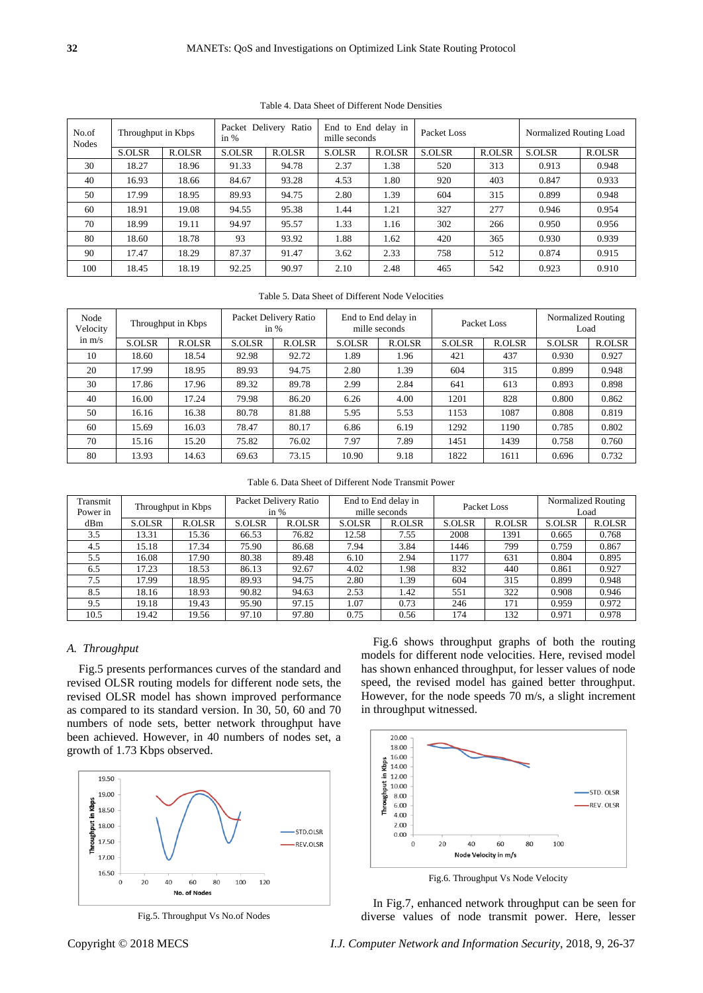| No.of<br><b>Nodes</b> | Throughput in Kbps |        | Delivery Ratio<br>Packet<br>in $%$ |        | End to End delay in<br>mille seconds |        | Packet Loss |        | Normalized Routing Load |        |
|-----------------------|--------------------|--------|------------------------------------|--------|--------------------------------------|--------|-------------|--------|-------------------------|--------|
|                       | S.OLSR             | R.OLSR | S.OLSR                             | R.OLSR | S.OLSR                               | R.OLSR | S.OLSR      | R.OLSR | S.OLSR                  | R.OLSR |
| 30                    | 18.27              | 18.96  | 91.33                              | 94.78  | 2.37                                 | 1.38   | 520         | 313    | 0.913                   | 0.948  |
| 40                    | 16.93              | 18.66  | 84.67                              | 93.28  | 4.53                                 | 1.80   | 920         | 403    | 0.847                   | 0.933  |
| 50                    | 17.99              | 18.95  | 89.93                              | 94.75  | 2.80                                 | 1.39   | 604         | 315    | 0.899                   | 0.948  |
| 60                    | 18.91              | 19.08  | 94.55                              | 95.38  | 1.44                                 | 1.21   | 327         | 277    | 0.946                   | 0.954  |
| 70                    | 18.99              | 19.11  | 94.97                              | 95.57  | 1.33                                 | 1.16   | 302         | 266    | 0.950                   | 0.956  |
| 80                    | 18.60              | 18.78  | 93                                 | 93.92  | 1.88                                 | 1.62   | 420         | 365    | 0.930                   | 0.939  |
| 90                    | 17.47              | 18.29  | 87.37                              | 91.47  | 3.62                                 | 2.33   | 758         | 512    | 0.874                   | 0.915  |
| 100                   | 18.45              | 18.19  | 92.25                              | 90.97  | 2.10                                 | 2.48   | 465         | 542    | 0.923                   | 0.910  |

Table 4. Data Sheet of Different Node Densities

Table 5. Data Sheet of Different Node Velocities

| Node<br>Velocity | Throughput in Kbps |        | Packet Delivery Ratio<br>in $%$ |        | End to End delay in<br>mille seconds |        | Packet Loss |        | Normalized Routing<br>Load |        |
|------------------|--------------------|--------|---------------------------------|--------|--------------------------------------|--------|-------------|--------|----------------------------|--------|
| in $m/s$         | S.OLSR             | R.OLSR | S.OLSR                          | R.OLSR | S.OLSR                               | R.OLSR | S.OLSR      | R.OLSR | S.OLSR                     | R.OLSR |
| 10               | 18.60              | 18.54  | 92.98                           | 92.72  | 1.89                                 | 1.96   | 421         | 437    | 0.930                      | 0.927  |
| 20               | 17.99              | 18.95  | 89.93                           | 94.75  | 2.80                                 | 1.39   | 604         | 315    | 0.899                      | 0.948  |
| 30               | 17.86              | 17.96  | 89.32                           | 89.78  | 2.99                                 | 2.84   | 641         | 613    | 0.893                      | 0.898  |
| 40               | 16.00              | 17.24  | 79.98                           | 86.20  | 6.26                                 | 4.00   | 1201        | 828    | 0.800                      | 0.862  |
| 50               | 16.16              | 16.38  | 80.78                           | 81.88  | 5.95                                 | 5.53   | 1153        | 1087   | 0.808                      | 0.819  |
| 60               | 15.69              | 16.03  | 78.47                           | 80.17  | 6.86                                 | 6.19   | 1292        | 1190   | 0.785                      | 0.802  |
| 70               | 15.16              | 15.20  | 75.82                           | 76.02  | 7.97                                 | 7.89   | 1451        | 1439   | 0.758                      | 0.760  |
| 80               | 13.93              | 14.63  | 69.63                           | 73.15  | 10.90                                | 9.18   | 1822        | 1611   | 0.696                      | 0.732  |

Table 6. Data Sheet of Different Node Transmit Power

| Transmit | Throughput in Kbps |        | Packet Delivery Ratio<br>in $%$ |        | End to End delay in<br>mille seconds |        | Packet Loss |        | Normalized Routing<br>Load |        |
|----------|--------------------|--------|---------------------------------|--------|--------------------------------------|--------|-------------|--------|----------------------------|--------|
| Power in |                    |        |                                 |        |                                      |        |             |        |                            |        |
| dBm      | S.OLSR             | R.OLSR | S.OLSR                          | R.OLSR | S.OLSR                               | R.OLSR | S.OLSR      | R.OLSR | S.OLSR                     | R.OLSR |
|          |                    |        |                                 |        |                                      |        |             |        |                            |        |
| 3.5      | 13.31              | 15.36  | 66.53                           | 76.82  | 12.58                                | 7.55   | 2008        | 1391   | 0.665                      | 0.768  |
| 4.5      | 15.18              | 17.34  | 75.90                           | 86.68  | 7.94                                 | 3.84   | 1446        | 799    | 0.759                      | 0.867  |
| 5.5      | 16.08              | 17.90  | 80.38                           | 89.48  | 6.10                                 | 2.94   | 1177        | 631    | 0.804                      | 0.895  |
| 6.5      | 17.23              | 18.53  | 86.13                           | 92.67  | 4.02                                 | 1.98   | 832         | 440    | 0.861                      | 0.927  |
| 7.5      | 17.99              | 18.95  | 89.93                           | 94.75  | 2.80                                 | 1.39   | 604         | 315    | 0.899                      | 0.948  |
| 8.5      | 18.16              | 18.93  | 90.82                           | 94.63  | 2.53                                 | 1.42   | 551         | 322    | 0.908                      | 0.946  |
| 9.5      | 19.18              | 19.43  | 95.90                           | 97.15  | 1.07                                 | 0.73   | 246         | 171    | 0.959                      | 0.972  |
| 10.5     | 19.42              | 19.56  | 97.10                           | 97.80  | 0.75                                 | 0.56   | 174         | 132    | 0.971                      | 0.978  |

## *A. Throughput*

Fig.5 presents performances curves of the standard and revised OLSR routing models for different node sets, the revised OLSR model has shown improved performance as compared to its standard version. In 30, 50, 60 and 70 numbers of node sets, better network throughput have been achieved. However, in 40 numbers of nodes set, a growth of 1.73 Kbps observed.



Fig.5. Throughput Vs No.of Nodes

Fig.6 shows throughput graphs of both the routing models for different node velocities. Here, revised model has shown enhanced throughput, for lesser values of node speed, the revised model has gained better throughput. However, for the node speeds  $\overline{70}$  m/s, a slight increment in throughput witnessed.



Fig.6. Throughput Vs Node Velocity

In Fig.7, enhanced network throughput can be seen for diverse values of node transmit power. Here, lesser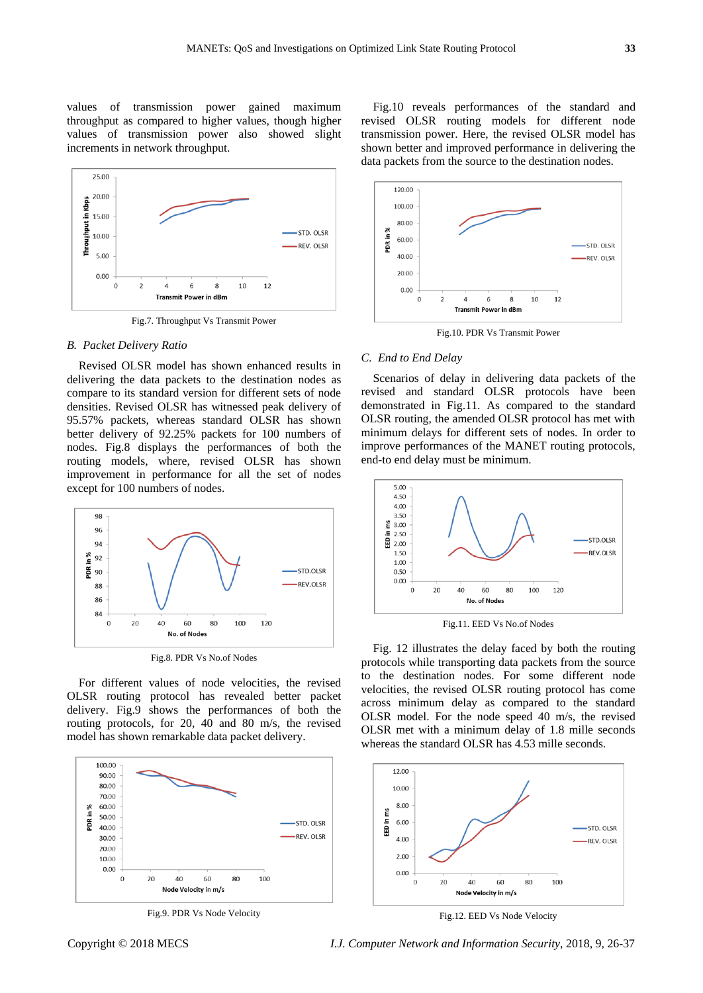values of transmission power gained maximum throughput as compared to higher values, though higher values of transmission power also showed slight increments in network throughput.



Fig.7. Throughput Vs Transmit Power

## *B. Packet Delivery Ratio*

Revised OLSR model has shown enhanced results in delivering the data packets to the destination nodes as compare to its standard version for different sets of node densities. Revised OLSR has witnessed peak delivery of 95.57% packets, whereas standard OLSR has shown better delivery of 92.25% packets for 100 numbers of nodes. Fig.8 displays the performances of both the routing models, where, revised OLSR has shown improvement in performance for all the set of nodes except for 100 numbers of nodes.



Fig.8. PDR Vs No.of Nodes

For different values of node velocities, the revised OLSR routing protocol has revealed better packet delivery. Fig.9 shows the performances of both the routing protocols, for 20, 40 and 80 m/s, the revised model has shown remarkable data packet delivery.



Fig.9. PDR Vs Node Velocity

Fig.10 reveals performances of the standard and revised OLSR routing models for different node transmission power. Here, the revised OLSR model has shown better and improved performance in delivering the data packets from the source to the destination nodes.



Fig.10. PDR Vs Transmit Power

## *C. End to End Delay*

Scenarios of delay in delivering data packets of the revised and standard OLSR protocols have been demonstrated in Fig.11. As compared to the standard OLSR routing, the amended OLSR protocol has met with minimum delays for different sets of nodes. In order to improve performances of the MANET routing protocols, end-to end delay must be minimum.



Fig.11. EED Vs No.of Nodes

Fig. 12 illustrates the delay faced by both the routing protocols while transporting data packets from the source to the destination nodes. For some different node velocities, the revised OLSR routing protocol has come across minimum delay as compared to the standard OLSR model. For the node speed 40 m/s, the revised OLSR met with a minimum delay of 1.8 mille seconds whereas the standard OLSR has 4.53 mille seconds.



Fig.12. EED Vs Node Velocity

Copyright © 2018 MECS *I.J. Computer Network and Information Security*, 2018, 9, 26-37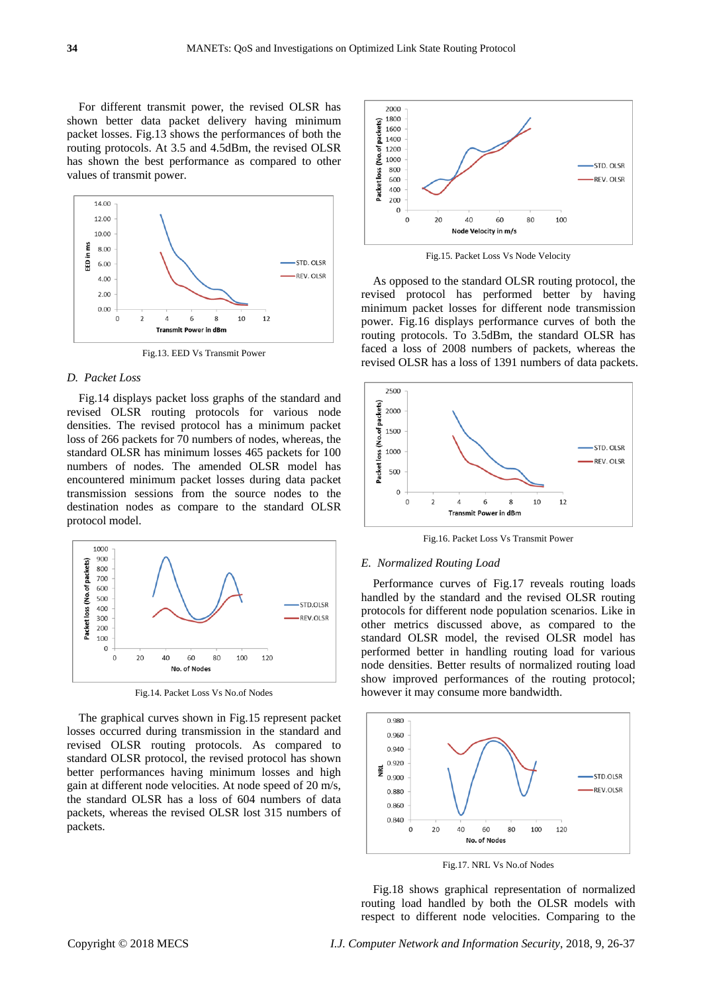For different transmit power, the revised OLSR has shown better data packet delivery having minimum packet losses. Fig.13 shows the performances of both the routing protocols. At 3.5 and 4.5dBm, the revised OLSR has shown the best performance as compared to other values of transmit power.



Fig.13. EED Vs Transmit Power

## *D. Packet Loss*

Fig.14 displays packet loss graphs of the standard and revised OLSR routing protocols for various node densities. The revised protocol has a minimum packet loss of 266 packets for 70 numbers of nodes, whereas, the standard OLSR has minimum losses 465 packets for 100 numbers of nodes. The amended OLSR model has encountered minimum packet losses during data packet transmission sessions from the source nodes to the destination nodes as compare to the standard OLSR protocol model.



Fig.14. Packet Loss Vs No.of Nodes

The graphical curves shown in Fig.15 represent packet losses occurred during transmission in the standard and revised OLSR routing protocols. As compared to standard OLSR protocol, the revised protocol has shown better performances having minimum losses and high gain at different node velocities. At node speed of 20 m/s, the standard OLSR has a loss of 604 numbers of data packets, whereas the revised OLSR lost 315 numbers of packets.



Fig.15. Packet Loss Vs Node Velocity

As opposed to the standard OLSR routing protocol, the revised protocol has performed better by having minimum packet losses for different node transmission power. Fig.16 displays performance curves of both the routing protocols. To 3.5dBm, the standard OLSR has faced a loss of 2008 numbers of packets, whereas the revised OLSR has a loss of 1391 numbers of data packets.



Fig.16. Packet Loss Vs Transmit Power

## *E. Normalized Routing Load*

Performance curves of Fig.17 reveals routing loads handled by the standard and the revised OLSR routing protocols for different node population scenarios. Like in other metrics discussed above, as compared to the standard OLSR model, the revised OLSR model has performed better in handling routing load for various node densities. Better results of normalized routing load show improved performances of the routing protocol; however it may consume more bandwidth.



Fig.17. NRL Vs No.of Nodes

Fig.18 shows graphical representation of normalized routing load handled by both the OLSR models with respect to different node velocities. Comparing to the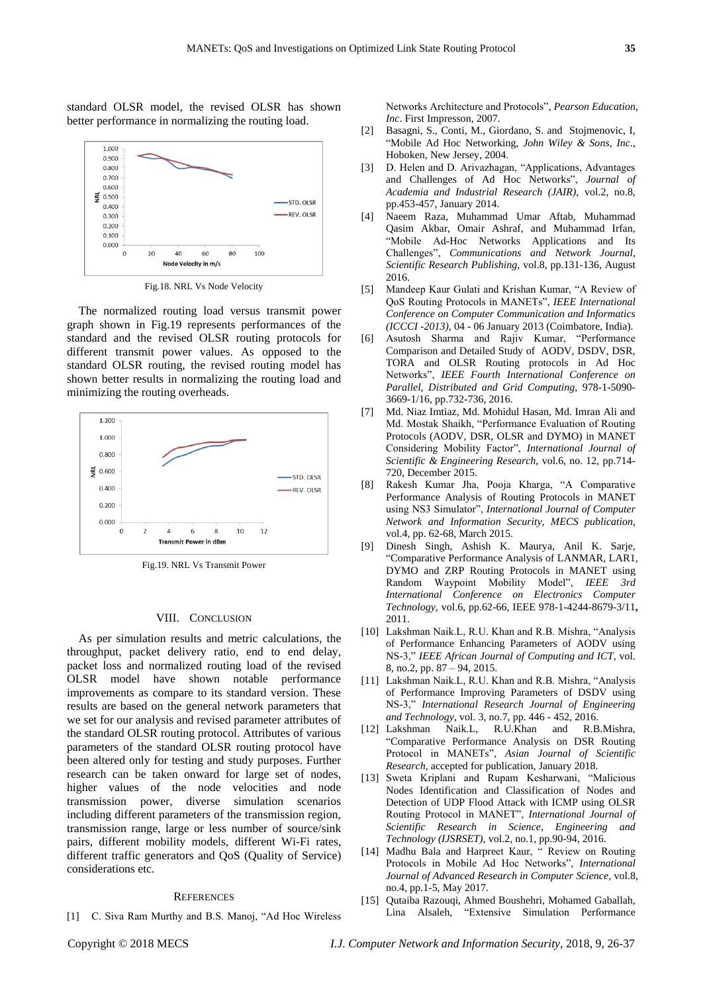standard OLSR model, the revised OLSR has shown better performance in normalizing the routing load.



Fig.18. NRL Vs Node Velocity

The normalized routing load versus transmit power graph shown in Fig.19 represents performances of the standard and the revised OLSR routing protocols for different transmit power values. As opposed to the standard OLSR routing, the revised routing model has shown better results in normalizing the routing load and minimizing the routing overheads.



Fig.19. NRL Vs Transmit Power

#### VIII. CONCLUSION

As per simulation results and metric calculations, the throughput, packet delivery ratio, end to end delay, packet loss and normalized routing load of the revised OLSR model have shown notable performance improvements as compare to its standard version. These results are based on the general network parameters that we set for our analysis and revised parameter attributes of the standard OLSR routing protocol. Attributes of various parameters of the standard OLSR routing protocol have been altered only for testing and study purposes. Further research can be taken onward for large set of nodes, higher values of the node velocities and node transmission power, diverse simulation scenarios including different parameters of the transmission region, transmission range, large or less number of source/sink pairs, different mobility models, different Wi-Fi rates, different traffic generators and QoS (Quality of Service) considerations etc.

## **REFERENCES**

[1] C. Siva Ram Murthy and B.S. Manoj, "Ad Hoc Wireless

Networks Architecture and Protocols", *Pearson Education, Inc*. First Impresson, 2007.

- [2] Basagni, S., Conti, M., Giordano, S. and Stojmenovic, I, "Mobile Ad Hoc Networking, *John Wiley & Sons, Inc*., Hoboken, New Jersey, 2004.
- [3] D. Helen and D. Arivazhagan, "Applications, Advantages and Challenges of Ad Hoc Networks", *Journal of Academia and Industrial Research (JAIR),* vol.2, no.8, pp.453-457, January 2014.
- [4] Naeem Raza, Muhammad Umar Aftab, Muhammad Qasim Akbar, Omair Ashraf, and Muhammad Irfan, "Mobile Ad-Hoc Networks Applications and Its Challenges", *Communications and Network Journal, Scientific Research Publishing,* vol.8, pp.131-136, August 2016.
- [5] Mandeep Kaur Gulati and Krishan Kumar, "A Review of QoS Routing Protocols in MANETs", *IEEE International Conference on Computer Communication and Informatics (ICCCI -2013),* 04 - 06 January 2013 (Coimbatore, India).
- [6] Asutosh Sharma and Rajiv Kumar, "Performance Comparison and Detailed Study of AODV, DSDV, DSR, TORA and OLSR Routing protocols in Ad Hoc Networks", *IEEE Fourth International Conference on Parallel, Distributed and Grid Computing,* 978-1-5090- 3669-1/16, pp.732-736, 2016.
- [7] Md. Niaz Imtiaz, Md. Mohidul Hasan, Md. Imran Ali and Md. Mostak Shaikh, "Performance Evaluation of Routing Protocols (AODV, DSR, OLSR and DYMO) in MANET Considering Mobility Factor", *International Journal of Scientific & Engineering Research,* vol.6, no. 12, pp.714- 720, December 2015.
- [8] Rakesh Kumar Jha, Pooja Kharga, "A Comparative Performance Analysis of Routing Protocols in MANET using NS3 Simulator", *International Journal of Computer Network and Information Security, MECS publication*, vol.4, pp. 62-68, March 2015.
- [9] Dinesh Singh, Ashish K. Maurya, Anil K. Sarje, "Comparative Performance Analysis of LANMAR, LAR1, DYMO and ZRP Routing Protocols in MANET using Random Waypoint Mobility Model", *IEEE 3rd International Conference on Electronics Computer Technology,* vol.6, pp.62-66, IEEE 978-1-4244-8679-3/11**,**  2011.
- [10] Lakshman Naik.L, R.U. Khan and R.B. Mishra, "Analysis of Performance Enhancing Parameters of AODV using NS-3," *IEEE African Journal of Computing and ICT*, vol. 8, no.2, pp. 87 – 94, 2015.
- [11] Lakshman Naik.L, R.U. Khan and R.B. Mishra, "Analysis of Performance Improving Parameters of DSDV using NS-3," *International Research Journal of Engineering and Technology*, vol. 3, no.7, pp. 446 - 452, 2016.
- [12] Lakshman Naik.L, R.U.Khan and R.B.Mishra, "Comparative Performance Analysis on DSR Routing Protocol in MANETs", *Asian Journal of Scientific Research,* accepted for publication, January 2018.
- [13] Sweta Kriplani and Rupam Kesharwani, "Malicious Nodes Identification and Classification of Nodes and Detection of UDP Flood Attack with ICMP using OLSR Routing Protocol in MANET", *International Journal of Scientific Research in Science, Engineering and Technology (IJSRSET),* vol.2, no.1, pp.90-94, 2016.
- [14] Madhu Bala and Harpreet Kaur, " Review on Routing Protocols in Mobile Ad Hoc Networks", *International Journal of Advanced Research in Computer Science,* vol.8, no.4, pp.1-5, May 2017.
- [15] Qutaiba Razouqi, Ahmed Boushehri, Mohamed Gaballah, Lina Alsaleh, "Extensive Simulation Performance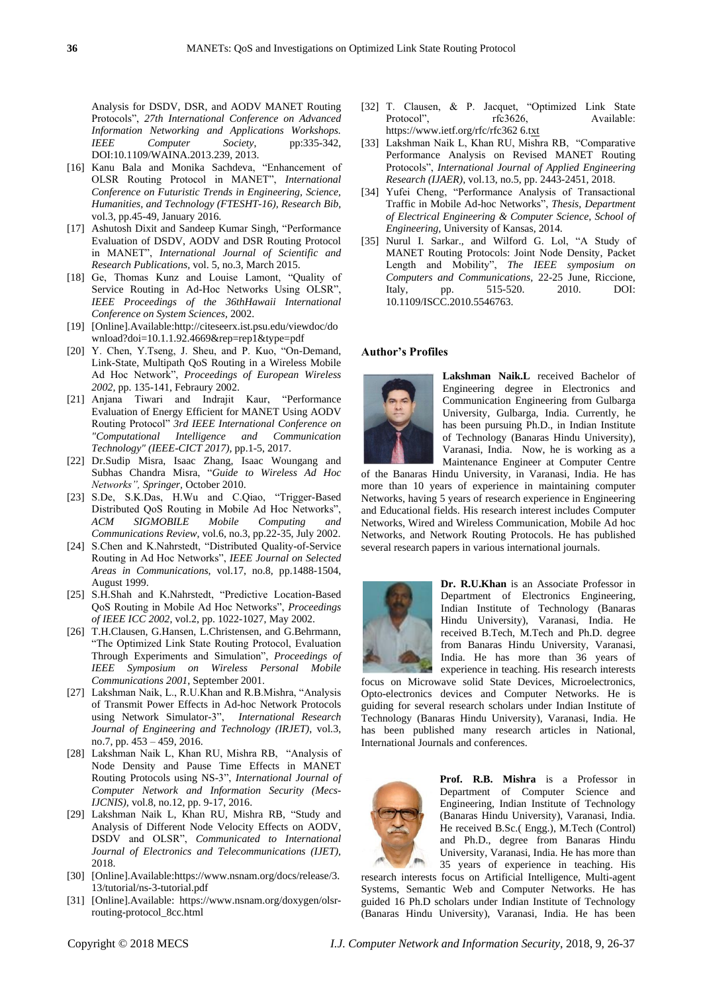Analysis for DSDV, DSR, and AODV MANET Routing Protocols", *27th International Conference on Advanced Information Networking and Applications Workshops. IEEE Computer Society*, pp:335-342, DOI:10.1109/WAINA.2013.239, 2013.

- [16] Kanu Bala and Monika Sachdeva, "Enhancement of OLSR Routing Protocol in MANET", *International Conference on Futuristic Trends in Engineering, Science, Humanities, and Technology (FTESHT-16), Research Bib,*  vol.3, pp.45-49, January 2016.
- [17] Ashutosh Dixit and Sandeep Kumar Singh, "Performance Evaluation of DSDV, AODV and DSR Routing Protocol in MANET", *International Journal of Scientific and Research Publications,* vol. 5, no.3, March 2015.
- [18] Ge, Thomas Kunz and Louise Lamont, "Quality of Service Routing in Ad-Hoc Networks Using OLSR", *IEEE Proceedings of the 36thHawaii International Conference on System Sciences,* 2002.
- [19] [Online].Available[:http://citeseerx.ist.psu.edu/viewdoc/do](http://citeseerx.ist.psu.edu/viewdoc/download?doi=10.1.1.92.4669&rep=rep1&type=pdf) [wnload?doi=10.1.1.92.4669&rep=rep1&type=pdf](http://citeseerx.ist.psu.edu/viewdoc/download?doi=10.1.1.92.4669&rep=rep1&type=pdf)
- [20] Y. Chen, Y.Tseng, J. Sheu, and P. Kuo, "On-Demand, Link-State, Multipath QoS Routing in a Wireless Mobile Ad Hoc Network", *Proceedings of European Wireless 2002,* pp. 135-141, Febraury 2002.
- [21] Anjana Tiwari and Indrajit Kaur, "Performance Evaluation of Energy Efficient for MANET Using AODV Routing Protocol" *3rd IEEE International Conference on "Computational Intelligence and Communication Technology" (IEEE-CICT 2017),* pp.1-5, 2017.
- [22] [Dr.Sudip](https://www.bokus.com/cgi-bin/product_search.cgi?authors=Dr%20Sudip%20Misra) Misra, Isaac [Zhang,](https://www.bokus.com/cgi-bin/product_search.cgi?authors=Isaac%20Zhang) Isaac [Woungang](https://www.bokus.com/cgi-bin/product_search.cgi?authors=Isaac%20Woungang) and Subhas [Chandra](https://www.bokus.com/cgi-bin/product_search.cgi?authors=Subhas%20Chandra%20Misra) Misra, "*Guide to Wireless Ad Hoc Networks", Springer,* October 2010.
- [23] S.De, S.K.Das, H.Wu and C.Qiao, "Trigger-Based Distributed QoS Routing in Mobile Ad Hoc Networks", *ACM SIGMOBILE Mobile Computing and Communications Review*, vol.6, no.3, pp.22-35, July 2002.
- [24] S.Chen and K.Nahrstedt, "Distributed Quality-of-Service Routing in Ad Hoc Networks", *IEEE Journal on Selected Areas in Communications*, vol.17, no.8, pp.1488-1504, August 1999.
- [25] S.H.Shah and K.Nahrstedt, "Predictive Location-Based QoS Routing in Mobile Ad Hoc Networks", *Proceedings of IEEE ICC 2002*, vol.2, pp. 1022-1027, May 2002.
- [26] T.H.Clausen, G.Hansen, L.Christensen, and G.Behrmann, "The Optimized Link State Routing Protocol, Evaluation Through Experiments and Simulation", *Proceedings of IEEE Symposium on Wireless Personal Mobile Communications 2001*, September 2001.
- [27] Lakshman Naik, L., R.U.Khan and R.B.Mishra, "Analysis of Transmit Power Effects in Ad-hoc Network Protocols using Network Simulator-3", *International Research Journal of Engineering and Technology (IRJET)*, vol.3, no.7, pp. 453 – 459, 2016.
- [28] Lakshman Naik L, Khan RU, Mishra RB, "Analysis of Node Density and Pause Time Effects in MANET Routing Protocols using NS-3", *International Journal of Computer Network and Information Security (Mecs-IJCNIS)*, vol.8, no.12, pp. 9-17, 2016.
- [29] Lakshman Naik L, Khan RU, Mishra RB, "Study and Analysis of Different Node Velocity Effects on AODV, DSDV and OLSR", *Communicated to International Journal of Electronics and Telecommunications (IJET),* 2018.
- [30] [Online].Available:https://www.nsnam.org/docs/release/3. 13/tutorial/ns-3-tutorial.pdf
- [31] [Online].Available: https://www.nsnam.org/doxygen/olsrrouting-protocol\_8cc.html
- [32] T. Clausen, & P. Jacquet, "Optimized Link State Protocol", rfc3626, Available: https://www.ietf.org/rfc/rfc362 6.txt
- [33] Lakshman Naik L, Khan RU, Mishra RB, "Comparative Performance Analysis on Revised MANET Routing Protocols", *International Journal of Applied Engineering Research (IJAER)*, vol.13, no.5, pp. 2443-2451, 2018.
- [34] Yufei Cheng, "Performance Analysis of Transactional Traffic in Mobile Ad-hoc Networks", *Thesis, Department of Electrical Engineering & Computer Science, School of Engineering,* University of Kansas, 2014.
- [35] Nurul I. Sarkar., and Wilford G. Lol, "A Study of MANET Routing Protocols: Joint Node Density, Packet Length and Mobility", *[The IEEE symposium on](https://ieeexplore.ieee.org/xpl/mostRecentIssue.jsp?punumber=5532341)  [Computers and Communications,](https://ieeexplore.ieee.org/xpl/mostRecentIssue.jsp?punumber=5532341)* 22-25 June, Riccione, Italy, pp. 515-520. 2010. DOI: [10.1109/ISCC.2010.5546763.](https://doi.org/10.1109/ISCC.2010.5546763)

#### **Author's Profiles**



**Lakshman Naik.L** received Bachelor of Engineering degree in Electronics and Communication Engineering from Gulbarga University, Gulbarga, India. Currently, he has been pursuing Ph.D., in Indian Institute of Technology (Banaras Hindu University), Varanasi, India. Now, he is working as a Maintenance Engineer at Computer Centre

of the Banaras Hindu University, in Varanasi, India. He has more than 10 years of experience in maintaining computer Networks, having 5 years of research experience in Engineering and Educational fields. His research interest includes Computer Networks, Wired and Wireless Communication, Mobile Ad hoc Networks, and Network Routing Protocols. He has published several research papers in various international journals.



**Dr. R.U.Khan** is an Associate Professor in Department of Electronics Engineering, Indian Institute of Technology (Banaras Hindu University), Varanasi, India. He received B.Tech, M.Tech and Ph.D. degree from Banaras Hindu University, Varanasi, India. He has more than 36 years of experience in teaching. His research interests

focus on Microwave solid State Devices, Microelectronics, Opto-electronics devices and Computer Networks. He is guiding for several research scholars under Indian Institute of Technology (Banaras Hindu University), Varanasi, India. He has been published many research articles in National, International Journals and conferences.



**Prof. R.B. Mishra** is a Professor in Department of Computer Science and Engineering, Indian Institute of Technology (Banaras Hindu University), Varanasi, India. He received B.Sc.( Engg.), M.Tech (Control) and Ph.D., degree from Banaras Hindu University, Varanasi, India. He has more than 35 years of experience in teaching. His

research interests focus on Artificial Intelligence, Multi-agent Systems, Semantic Web and Computer Networks. He has guided 16 Ph.D scholars under Indian Institute of Technology (Banaras Hindu University), Varanasi, India. He has been